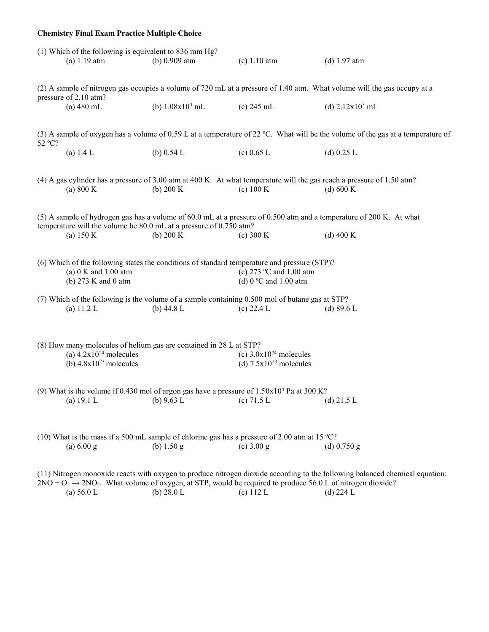| <b>Chemistry Final Exam Practice Multiple Choice</b>                                                                                                                                                                                                                                                                |                                                                                                                                                                                           |                                                                                                                     |                                                                    |                                                                                                                                       |  |
|---------------------------------------------------------------------------------------------------------------------------------------------------------------------------------------------------------------------------------------------------------------------------------------------------------------------|-------------------------------------------------------------------------------------------------------------------------------------------------------------------------------------------|---------------------------------------------------------------------------------------------------------------------|--------------------------------------------------------------------|---------------------------------------------------------------------------------------------------------------------------------------|--|
|                                                                                                                                                                                                                                                                                                                     | (1) Which of the following is equivalent to 836 mm Hg?<br>$(a) 1.19$ atm                                                                                                                  | (b) $0.909$ atm                                                                                                     | (c) 1.10 atm                                                       | (d) $1.97$ atm                                                                                                                        |  |
| (2) A sample of nitrogen gas occupies a volume of 720 mL at a pressure of 1.40 atm. What volume will the gas occupy at a                                                                                                                                                                                            |                                                                                                                                                                                           |                                                                                                                     |                                                                    |                                                                                                                                       |  |
|                                                                                                                                                                                                                                                                                                                     | pressure of 2.10 atm?<br>$(a) 480$ mL                                                                                                                                                     | (b) $1.08x10^3$ mL                                                                                                  | $(c) 245$ mL                                                       | (d) $2.12x10^3$ mL                                                                                                                    |  |
|                                                                                                                                                                                                                                                                                                                     |                                                                                                                                                                                           |                                                                                                                     |                                                                    | (3) A sample of oxygen has a volume of 0.59 L at a temperature of 22 °C. What will be the volume of the gas at a temperature of       |  |
| 52 °C?                                                                                                                                                                                                                                                                                                              | (a) $1.4 L$                                                                                                                                                                               | (b) $0.54 L$                                                                                                        | (c) $0.65$ L                                                       | (d) $0.25 L$                                                                                                                          |  |
|                                                                                                                                                                                                                                                                                                                     | (a) $800 \text{ K}$                                                                                                                                                                       | (b) $200 K$                                                                                                         | (c) 100 K                                                          | (4) A gas cylinder has a pressure of 3.00 atm at 400 K. At what temperature will the gas reach a pressure of 1.50 atm?<br>(d) $600 K$ |  |
|                                                                                                                                                                                                                                                                                                                     | (5) A sample of hydrogen gas has a volume of 60.0 mL at a pressure of 0.500 atm and a temperature of 200 K. At what<br>temperature will the volume be 80.0 mL at a pressure of 0.750 atm? |                                                                                                                     |                                                                    |                                                                                                                                       |  |
|                                                                                                                                                                                                                                                                                                                     | (a) $150 K$                                                                                                                                                                               | (b) $200 K$                                                                                                         | (c) 300 K                                                          | (d) $400 K$                                                                                                                           |  |
|                                                                                                                                                                                                                                                                                                                     | (a) $0 K$ and $1.00$ atm<br>(b) 273 K and 0 atm                                                                                                                                           | (6) Which of the following states the conditions of standard temperature and pressure (STP)?                        | (c) 273 $\degree$ C and 1.00 atm<br>(d) $0^{\circ}$ C and 1.00 atm |                                                                                                                                       |  |
|                                                                                                                                                                                                                                                                                                                     | (a) $11.2 L$                                                                                                                                                                              | (7) Which of the following is the volume of a sample containing 0.500 mol of butane gas at STP?<br>(b) $44.8 L$     | (c) $22.4 L$                                                       | (d) $89.6 L$                                                                                                                          |  |
| (8) How many molecules of helium gas are contained in 28 L at STP?<br>(a) $4.2 \times 10^{24}$ molecules<br>(c) $3.0x10^{24}$ molecules                                                                                                                                                                             |                                                                                                                                                                                           |                                                                                                                     |                                                                    |                                                                                                                                       |  |
|                                                                                                                                                                                                                                                                                                                     | (b) $4.8 \times 10^{23}$ molecules                                                                                                                                                        |                                                                                                                     | (d) $7.5x10^{23}$ molecules                                        |                                                                                                                                       |  |
|                                                                                                                                                                                                                                                                                                                     | (a) $19.1 L$                                                                                                                                                                              | (9) What is the volume if 0.430 mol of argon gas have a pressure of $1.50 \times 10^4$ Pa at 300 K?<br>(b) $9.63 L$ | (c) $71.5 L$                                                       | (d) $21.5 L$                                                                                                                          |  |
|                                                                                                                                                                                                                                                                                                                     | (a) 6.00 g                                                                                                                                                                                | (10) What is the mass if a 500 mL sample of chlorine gas has a pressure of 2.00 atm at 15 °C?<br>(b) $1.50 g$       | $(c)$ 3.00 g                                                       | (d) $0.750$ g                                                                                                                         |  |
| (11) Nitrogen monoxide reacts with oxygen to produce nitrogen dioxide according to the following balanced chemical equation:<br>$2NO + O2 \rightarrow 2NO2$ . What volume of oxygen, at STP, would be required to produce 56.0 L of nitrogen dioxide?<br>(b) $28.0 L$<br>(c) $112 L$<br>(d) $224 L$<br>(a) $56.0 L$ |                                                                                                                                                                                           |                                                                                                                     |                                                                    |                                                                                                                                       |  |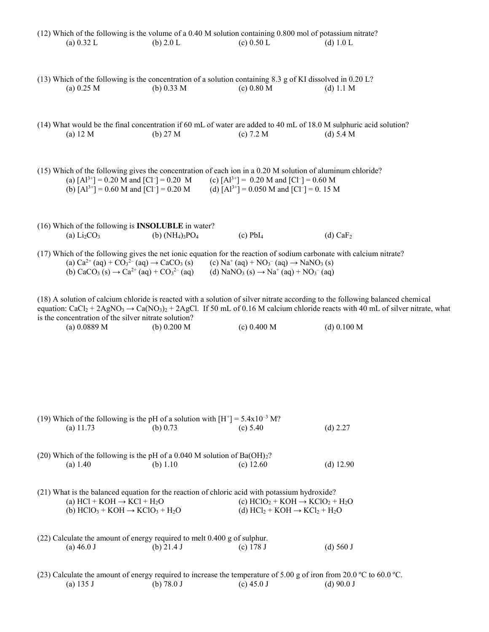| $(12)$ Which of the following is the volume of a 0.40 M solution containing 0.800 mol of potassium nitrate? |                                                                                                                     |                                                                                                        |                                                                                                                                                                           |                                                                                                                                                                                                                                                                              |  |
|-------------------------------------------------------------------------------------------------------------|---------------------------------------------------------------------------------------------------------------------|--------------------------------------------------------------------------------------------------------|---------------------------------------------------------------------------------------------------------------------------------------------------------------------------|------------------------------------------------------------------------------------------------------------------------------------------------------------------------------------------------------------------------------------------------------------------------------|--|
|                                                                                                             | (a) $0.32 L$                                                                                                        | (b) $2.0 L$                                                                                            | (c) $0.50 L$                                                                                                                                                              | (d) $1.0 L$                                                                                                                                                                                                                                                                  |  |
|                                                                                                             |                                                                                                                     |                                                                                                        |                                                                                                                                                                           |                                                                                                                                                                                                                                                                              |  |
|                                                                                                             | (a) 0.25 M                                                                                                          | (b) $0.33 M$                                                                                           | (13) Which of the following is the concentration of a solution containing 8.3 g of KI dissolved in 0.20 L?<br>(c) 0.80 M                                                  | (d) $1.1 M$                                                                                                                                                                                                                                                                  |  |
|                                                                                                             |                                                                                                                     |                                                                                                        |                                                                                                                                                                           |                                                                                                                                                                                                                                                                              |  |
|                                                                                                             |                                                                                                                     |                                                                                                        |                                                                                                                                                                           |                                                                                                                                                                                                                                                                              |  |
|                                                                                                             | (a) 12 M                                                                                                            | (b) $27 M$                                                                                             | (c) 7.2 M                                                                                                                                                                 | (14) What would be the final concentration if 60 mL of water are added to 40 mL of 18.0 M sulphuric acid solution?<br>(d) 5.4 M                                                                                                                                              |  |
|                                                                                                             |                                                                                                                     |                                                                                                        |                                                                                                                                                                           |                                                                                                                                                                                                                                                                              |  |
|                                                                                                             |                                                                                                                     |                                                                                                        |                                                                                                                                                                           |                                                                                                                                                                                                                                                                              |  |
|                                                                                                             |                                                                                                                     |                                                                                                        | (15) Which of the following gives the concentration of each ion in a 0.20 M solution of aluminum chloride?                                                                |                                                                                                                                                                                                                                                                              |  |
|                                                                                                             | (a) $[A1^{3+}] = 0.20$ M and $[Cl^-] = 0.20$ M<br>(b) $[A1^{3+}]$ = 0.60 M and $[Cl^-]$ = 0.20 M                    |                                                                                                        | (c) $[A]^{3+}$ = 0.20 M and $[Cl^-]$ = 0.60 M<br>(d) $[A1^{3+}]$ = 0.050 M and $[Cl^-]$ = 0.15 M                                                                          |                                                                                                                                                                                                                                                                              |  |
|                                                                                                             |                                                                                                                     |                                                                                                        |                                                                                                                                                                           |                                                                                                                                                                                                                                                                              |  |
|                                                                                                             |                                                                                                                     |                                                                                                        |                                                                                                                                                                           |                                                                                                                                                                                                                                                                              |  |
|                                                                                                             | (16) Which of the following is <b>INSOLUBLE</b> in water?<br>(a) $Li2CO3$                                           | (b) $(NH_4)$ <sub>3</sub> PO <sub>4</sub>                                                              | $(c)$ PbI <sub>4</sub>                                                                                                                                                    | $(d)$ CaF <sub>2</sub>                                                                                                                                                                                                                                                       |  |
|                                                                                                             |                                                                                                                     |                                                                                                        |                                                                                                                                                                           |                                                                                                                                                                                                                                                                              |  |
|                                                                                                             | (a) $Ca^{2+}$ (aq) + $CO_3^{2-}$ (aq) $\rightarrow$ CaCO <sub>3</sub> (s)                                           |                                                                                                        | (17) Which of the following gives the net ionic equation for the reaction of sodium carbonate with calcium nitrate?<br>(c) $Na^+(aq) + NO_3^-(aq) \rightarrow NaNO_3$ (s) |                                                                                                                                                                                                                                                                              |  |
|                                                                                                             | (b) CaCO <sub>3</sub> (s) $\rightarrow$ Ca <sup>2+</sup> (aq) + CO <sub>3</sub> <sup>2-</sup> (aq)                  |                                                                                                        | (d) NaNO <sub>3</sub> (s) $\rightarrow$ Na <sup>+</sup> (aq) + NO <sub>3</sub> <sup>-</sup> (aq)                                                                          |                                                                                                                                                                                                                                                                              |  |
|                                                                                                             |                                                                                                                     |                                                                                                        |                                                                                                                                                                           |                                                                                                                                                                                                                                                                              |  |
|                                                                                                             |                                                                                                                     |                                                                                                        |                                                                                                                                                                           | (18) A solution of calcium chloride is reacted with a solution of silver nitrate according to the following balanced chemical<br>equation: $CaCl_2 + 2AgNO_3 \rightarrow Ca(NO_3)_2 + 2AgCl$ . If 50 mL of 0.16 M calcium chloride reacts with 40 mL of silver nitrate, what |  |
|                                                                                                             | is the concentration of the silver nitrate solution?<br>(a) 0.0889 M                                                | (b) $0.200 M$                                                                                          | (c) 0.400 M                                                                                                                                                               | $(d)$ 0.100 M                                                                                                                                                                                                                                                                |  |
|                                                                                                             |                                                                                                                     |                                                                                                        |                                                                                                                                                                           |                                                                                                                                                                                                                                                                              |  |
|                                                                                                             |                                                                                                                     |                                                                                                        |                                                                                                                                                                           |                                                                                                                                                                                                                                                                              |  |
|                                                                                                             |                                                                                                                     |                                                                                                        |                                                                                                                                                                           |                                                                                                                                                                                                                                                                              |  |
|                                                                                                             |                                                                                                                     |                                                                                                        |                                                                                                                                                                           |                                                                                                                                                                                                                                                                              |  |
|                                                                                                             |                                                                                                                     |                                                                                                        |                                                                                                                                                                           |                                                                                                                                                                                                                                                                              |  |
|                                                                                                             |                                                                                                                     |                                                                                                        |                                                                                                                                                                           |                                                                                                                                                                                                                                                                              |  |
|                                                                                                             | $(a)$ 11.73                                                                                                         | (19) Which of the following is the pH of a solution with $[H^+] = 5.4 \times 10^{-3}$ M?<br>(b) $0.73$ | (c) 5.40                                                                                                                                                                  | (d) 2.27                                                                                                                                                                                                                                                                     |  |
|                                                                                                             |                                                                                                                     |                                                                                                        |                                                                                                                                                                           |                                                                                                                                                                                                                                                                              |  |
|                                                                                                             |                                                                                                                     | (20) Which of the following is the pH of a 0.040 M solution of $Ba(OH)2$ ?                             |                                                                                                                                                                           |                                                                                                                                                                                                                                                                              |  |
|                                                                                                             | (a) 1.40                                                                                                            | (b) $1.10$                                                                                             | $(c)$ 12.60                                                                                                                                                               | (d) $12.90$                                                                                                                                                                                                                                                                  |  |
|                                                                                                             |                                                                                                                     |                                                                                                        |                                                                                                                                                                           |                                                                                                                                                                                                                                                                              |  |
|                                                                                                             | (a) $HCl + KOH \rightarrow KCl + H2O$                                                                               |                                                                                                        | (21) What is the balanced equation for the reaction of chloric acid with potassium hydroxide?<br>(c) $HCIO_2 + KOH \rightarrow KClO_2 + H_2O$                             |                                                                                                                                                                                                                                                                              |  |
|                                                                                                             | (b) $HCIO_3 + KOH \rightarrow KClO_3 + H_2O$                                                                        |                                                                                                        | (d) $HCl_2 + KOH \rightarrow KCl_2 + H_2O$                                                                                                                                |                                                                                                                                                                                                                                                                              |  |
|                                                                                                             |                                                                                                                     |                                                                                                        |                                                                                                                                                                           |                                                                                                                                                                                                                                                                              |  |
|                                                                                                             | $(a)$ 46.0 J                                                                                                        | (22) Calculate the amount of energy required to melt 0.400 g of sulphur.<br>(b) $21.4$ J               | $(c)$ 178 J                                                                                                                                                               | $(d)$ 560 J                                                                                                                                                                                                                                                                  |  |
|                                                                                                             |                                                                                                                     |                                                                                                        |                                                                                                                                                                           |                                                                                                                                                                                                                                                                              |  |
|                                                                                                             | (23) Calculate the amount of energy required to increase the temperature of 5.00 g of iron from 20.0 °C to 60.0 °C. |                                                                                                        |                                                                                                                                                                           |                                                                                                                                                                                                                                                                              |  |
|                                                                                                             | (a) 135 J                                                                                                           | (b) $78.0 \text{ J}$                                                                                   | $(c)$ 45.0 J                                                                                                                                                              | $(d)$ 90.0 J                                                                                                                                                                                                                                                                 |  |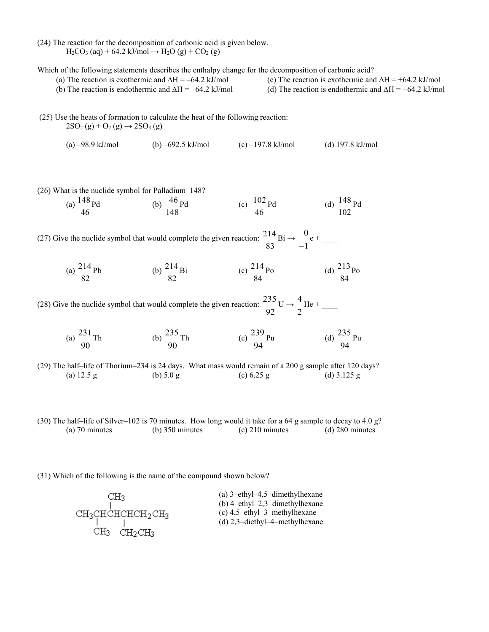(24) The reaction for the decomposition of carbonic acid is given below.  $H_2CO_3$  (aq) + 64.2 kJ/mol  $\rightarrow H_2O$  (g) +  $CO_2$  (g)

Which of the following statements describes the enthalpy change for the decomposition of carbonic acid?

(a) The reaction is exothermic and  $\Delta H = -64.2$  kJ/mol (c) The reaction is exothermic and  $\Delta H = +64.2$  kJ/mol (b) The reaction is endothermic and  $\Delta H = -64.2$  kJ/mol (d) The reaction is endothermic and  $\Delta H = +64.2$  kJ/mol (25) Use the heats of formation to calculate the heat of the following reaction:  $2SO_2(g) + O_2(g) \rightarrow 2SO_3(g)$ (a)  $-98.9$  kJ/mol (b)  $-692.5$  kJ/mol (c)  $-197.8$  kJ/mol (d) 197.8 kJ/mol



(30) The half–life of Silver–102 is 70 minutes. How long would it take for a 64 g sample to decay to 4.0 g? (a) 70 minutes (b) 350 minutes (c) 210 minutes (d) 280 minutes

(31) Which of the following is the name of the compound shown below?

| CНз                                    | (a) $3$ -ethyl-4,5-dimethylhexane                                   |
|----------------------------------------|---------------------------------------------------------------------|
|                                        | (b) $4$ -ethyl-2,3-dimethylhexane                                   |
| CH3CHCHCHCH3CH3                        | $(c)$ 4.5-ethyl-3-methylhexane<br>(d) $2,3$ -diethyl-4-methylhexane |
| CНз<br>CH <sub>2</sub> CH <sub>3</sub> |                                                                     |